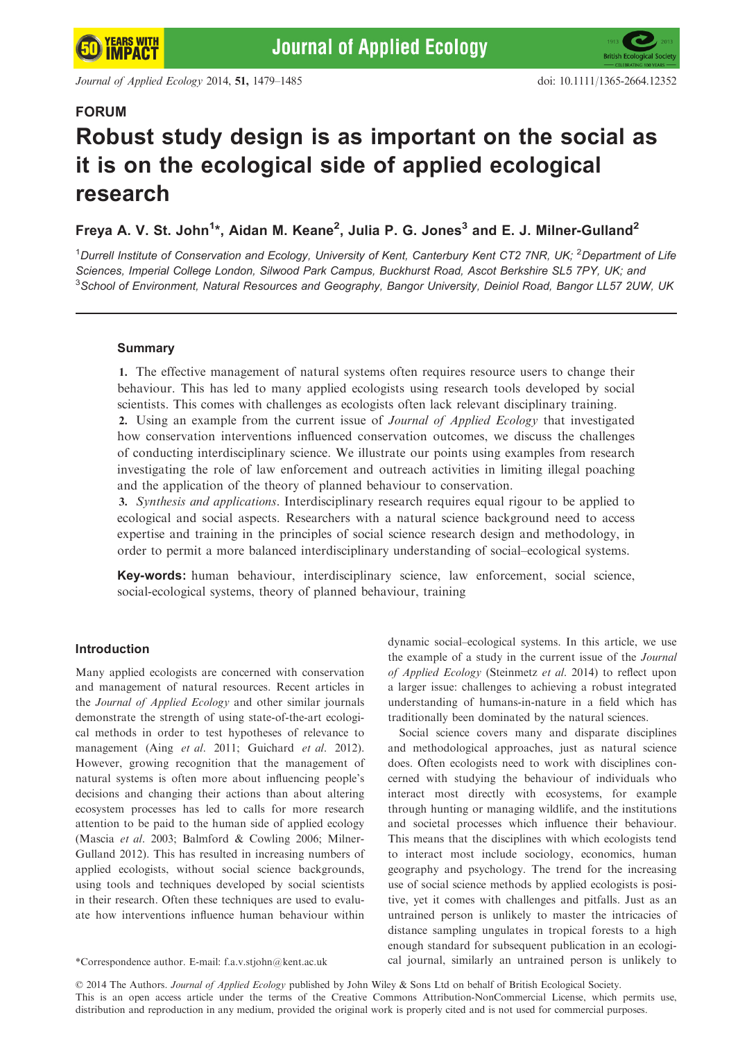Journal of Applied Ecology 2014, 51, 1479–1485 doi: 10.1111/1365-2664.12352

## FORUM

# Robust study design is as important on the social as it is on the ecological side of applied ecological research

Freya A. V. St. John<sup>1\*</sup>, Aidan M. Keane<sup>2</sup>, Julia P. G. Jones<sup>3</sup> and E. J. Milner-Gulland<sup>2</sup>

<sup>1</sup>Durrell Institute of Conservation and Ecology, University of Kent, Canterbury Kent CT2 7NR, UK; <sup>2</sup>Department of Life Sciences, Imperial College London, Silwood Park Campus, Buckhurst Road, Ascot Berkshire SL5 7PY, UK; and  $^3$ School of Environment, Natural Resources and Geography, Bangor University, Deiniol Road, Bangor LL57 2UW, UK

## **Summary**

1. The effective management of natural systems often requires resource users to change their behaviour. This has led to many applied ecologists using research tools developed by social scientists. This comes with challenges as ecologists often lack relevant disciplinary training. 2. Using an example from the current issue of *Journal of Applied Ecology* that investigated how conservation interventions influenced conservation outcomes, we discuss the challenges of conducting interdisciplinary science. We illustrate our points using examples from research investigating the role of law enforcement and outreach activities in limiting illegal poaching and the application of the theory of planned behaviour to conservation.

3. Synthesis and applications. Interdisciplinary research requires equal rigour to be applied to ecological and social aspects. Researchers with a natural science background need to access expertise and training in the principles of social science research design and methodology, in order to permit a more balanced interdisciplinary understanding of social–ecological systems.

Key-words: human behaviour, interdisciplinary science, law enforcement, social science, social-ecological systems, theory of planned behaviour, training

## Introduction

Many applied ecologists are concerned with conservation and management of natural resources. Recent articles in the Journal of Applied Ecology and other similar journals demonstrate the strength of using state-of-the-art ecological methods in order to test hypotheses of relevance to management (Aing et al. 2011; Guichard et al. 2012). However, growing recognition that the management of natural systems is often more about influencing people's decisions and changing their actions than about altering ecosystem processes has led to calls for more research attention to be paid to the human side of applied ecology (Mascia et al. 2003; Balmford & Cowling 2006; Milner-Gulland 2012). This has resulted in increasing numbers of applied ecologists, without social science backgrounds, using tools and techniques developed by social scientists in their research. Often these techniques are used to evaluate how interventions influence human behaviour within

dynamic social–ecological systems. In this article, we use the example of a study in the current issue of the Journal of Applied Ecology (Steinmetz et al. 2014) to reflect upon a larger issue: challenges to achieving a robust integrated understanding of humans-in-nature in a field which has traditionally been dominated by the natural sciences.

Social science covers many and disparate disciplines and methodological approaches, just as natural science does. Often ecologists need to work with disciplines concerned with studying the behaviour of individuals who interact most directly with ecosystems, for example through hunting or managing wildlife, and the institutions and societal processes which influence their behaviour. This means that the disciplines with which ecologists tend to interact most include sociology, economics, human geography and psychology. The trend for the increasing use of social science methods by applied ecologists is positive, yet it comes with challenges and pitfalls. Just as an untrained person is unlikely to master the intricacies of distance sampling ungulates in tropical forests to a high enough standard for subsequent publication in an ecologi- \*Correspondence author. E-mail: f.a.v.stjohn@kent.ac.uk cal journal, similarly an untrained person is unlikely to

© 2014 The Authors. Journal of Applied Ecology published by John Wiley & Sons Ltd on behalf of British Ecological Society. This is an open access article under the terms of the Creative Commons Attribution-NonCommercial License, which permits use, distribution and reproduction in any medium, provided the original work is properly cited and is not used for commercial purposes.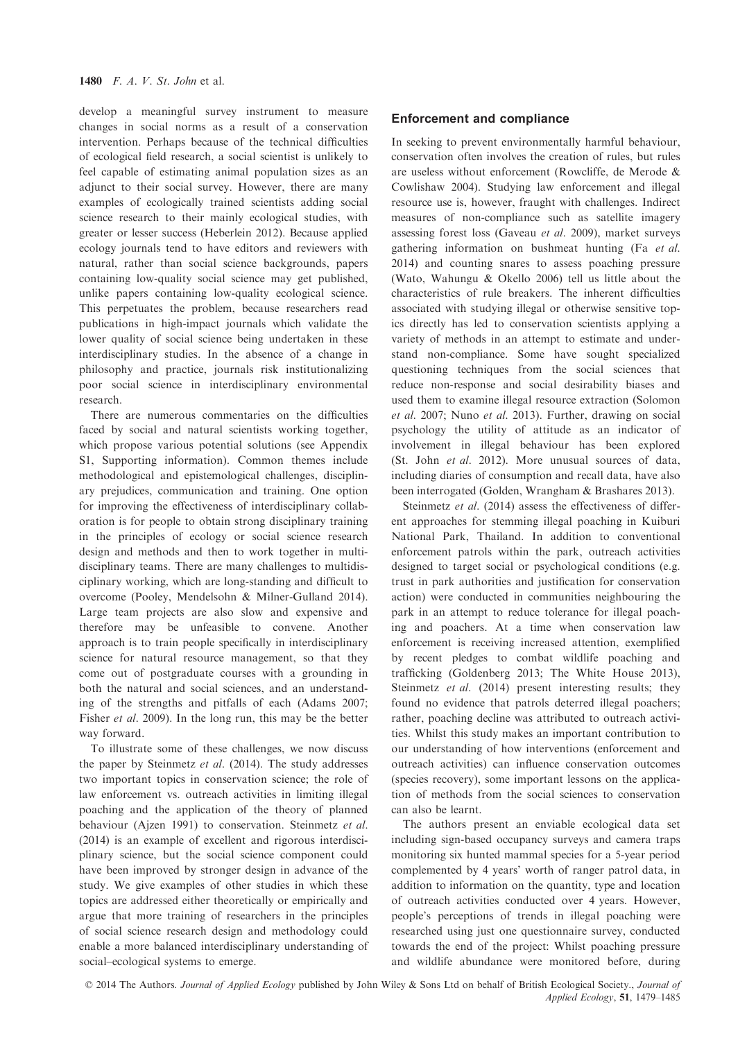develop a meaningful survey instrument to measure changes in social norms as a result of a conservation intervention. Perhaps because of the technical difficulties of ecological field research, a social scientist is unlikely to feel capable of estimating animal population sizes as an adjunct to their social survey. However, there are many examples of ecologically trained scientists adding social science research to their mainly ecological studies, with greater or lesser success (Heberlein 2012). Because applied ecology journals tend to have editors and reviewers with natural, rather than social science backgrounds, papers containing low-quality social science may get published, unlike papers containing low-quality ecological science. This perpetuates the problem, because researchers read publications in high-impact journals which validate the lower quality of social science being undertaken in these interdisciplinary studies. In the absence of a change in philosophy and practice, journals risk institutionalizing poor social science in interdisciplinary environmental research.

There are numerous commentaries on the difficulties faced by social and natural scientists working together, which propose various potential solutions (see Appendix S1, Supporting information). Common themes include methodological and epistemological challenges, disciplinary prejudices, communication and training. One option for improving the effectiveness of interdisciplinary collaboration is for people to obtain strong disciplinary training in the principles of ecology or social science research design and methods and then to work together in multidisciplinary teams. There are many challenges to multidisciplinary working, which are long-standing and difficult to overcome (Pooley, Mendelsohn & Milner-Gulland 2014). Large team projects are also slow and expensive and therefore may be unfeasible to convene. Another approach is to train people specifically in interdisciplinary science for natural resource management, so that they come out of postgraduate courses with a grounding in both the natural and social sciences, and an understanding of the strengths and pitfalls of each (Adams 2007; Fisher et al. 2009). In the long run, this may be the better way forward.

To illustrate some of these challenges, we now discuss the paper by Steinmetz et al. (2014). The study addresses two important topics in conservation science; the role of law enforcement vs. outreach activities in limiting illegal poaching and the application of the theory of planned behaviour (Ajzen 1991) to conservation. Steinmetz et al. (2014) is an example of excellent and rigorous interdisciplinary science, but the social science component could have been improved by stronger design in advance of the study. We give examples of other studies in which these topics are addressed either theoretically or empirically and argue that more training of researchers in the principles of social science research design and methodology could enable a more balanced interdisciplinary understanding of social–ecological systems to emerge.

### Enforcement and compliance

In seeking to prevent environmentally harmful behaviour, conservation often involves the creation of rules, but rules are useless without enforcement (Rowcliffe, de Merode & Cowlishaw 2004). Studying law enforcement and illegal resource use is, however, fraught with challenges. Indirect measures of non-compliance such as satellite imagery assessing forest loss (Gaveau et al. 2009), market surveys gathering information on bushmeat hunting (Fa et al. 2014) and counting snares to assess poaching pressure (Wato, Wahungu & Okello 2006) tell us little about the characteristics of rule breakers. The inherent difficulties associated with studying illegal or otherwise sensitive topics directly has led to conservation scientists applying a variety of methods in an attempt to estimate and understand non-compliance. Some have sought specialized questioning techniques from the social sciences that reduce non-response and social desirability biases and used them to examine illegal resource extraction (Solomon et al. 2007; Nuno et al. 2013). Further, drawing on social psychology the utility of attitude as an indicator of involvement in illegal behaviour has been explored (St. John et al. 2012). More unusual sources of data, including diaries of consumption and recall data, have also been interrogated (Golden, Wrangham & Brashares 2013).

Steinmetz et al. (2014) assess the effectiveness of different approaches for stemming illegal poaching in Kuiburi National Park, Thailand. In addition to conventional enforcement patrols within the park, outreach activities designed to target social or psychological conditions (e.g. trust in park authorities and justification for conservation action) were conducted in communities neighbouring the park in an attempt to reduce tolerance for illegal poaching and poachers. At a time when conservation law enforcement is receiving increased attention, exemplified by recent pledges to combat wildlife poaching and trafficking (Goldenberg 2013; The White House 2013), Steinmetz et al. (2014) present interesting results; they found no evidence that patrols deterred illegal poachers; rather, poaching decline was attributed to outreach activities. Whilst this study makes an important contribution to our understanding of how interventions (enforcement and outreach activities) can influence conservation outcomes (species recovery), some important lessons on the application of methods from the social sciences to conservation can also be learnt.

The authors present an enviable ecological data set including sign-based occupancy surveys and camera traps monitoring six hunted mammal species for a 5-year period complemented by 4 years' worth of ranger patrol data, in addition to information on the quantity, type and location of outreach activities conducted over 4 years. However, people's perceptions of trends in illegal poaching were researched using just one questionnaire survey, conducted towards the end of the project: Whilst poaching pressure and wildlife abundance were monitored before, during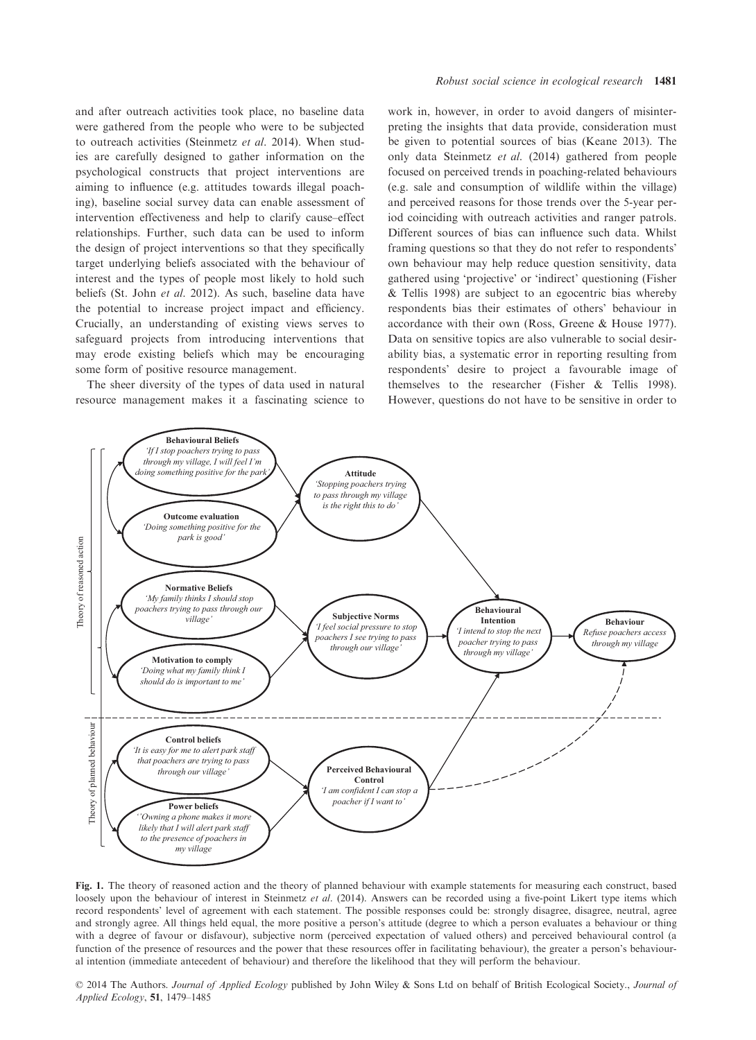and after outreach activities took place, no baseline data were gathered from the people who were to be subjected to outreach activities (Steinmetz et al. 2014). When studies are carefully designed to gather information on the psychological constructs that project interventions are aiming to influence (e.g. attitudes towards illegal poaching), baseline social survey data can enable assessment of intervention effectiveness and help to clarify cause–effect relationships. Further, such data can be used to inform the design of project interventions so that they specifically target underlying beliefs associated with the behaviour of interest and the types of people most likely to hold such beliefs (St. John et al. 2012). As such, baseline data have the potential to increase project impact and efficiency. Crucially, an understanding of existing views serves to safeguard projects from introducing interventions that may erode existing beliefs which may be encouraging some form of positive resource management.

The sheer diversity of the types of data used in natural resource management makes it a fascinating science to work in, however, in order to avoid dangers of misinterpreting the insights that data provide, consideration must be given to potential sources of bias (Keane 2013). The only data Steinmetz et al. (2014) gathered from people focused on perceived trends in poaching-related behaviours (e.g. sale and consumption of wildlife within the village) and perceived reasons for those trends over the 5-year period coinciding with outreach activities and ranger patrols. Different sources of bias can influence such data. Whilst framing questions so that they do not refer to respondents' own behaviour may help reduce question sensitivity, data gathered using 'projective' or 'indirect' questioning (Fisher & Tellis 1998) are subject to an egocentric bias whereby respondents bias their estimates of others' behaviour in accordance with their own (Ross, Greene & House 1977). Data on sensitive topics are also vulnerable to social desirability bias, a systematic error in reporting resulting from respondents' desire to project a favourable image of themselves to the researcher (Fisher & Tellis 1998). However, questions do not have to be sensitive in order to



Fig. 1. The theory of reasoned action and the theory of planned behaviour with example statements for measuring each construct, based loosely upon the behaviour of interest in Steinmetz et al. (2014). Answers can be recorded using a five-point Likert type items which record respondents' level of agreement with each statement. The possible responses could be: strongly disagree, disagree, neutral, agree and strongly agree. All things held equal, the more positive a person's attitude (degree to which a person evaluates a behaviour or thing with a degree of favour or disfavour), subjective norm (perceived expectation of valued others) and perceived behavioural control (a function of the presence of resources and the power that these resources offer in facilitating behaviour), the greater a person's behavioural intention (immediate antecedent of behaviour) and therefore the likelihood that they will perform the behaviour.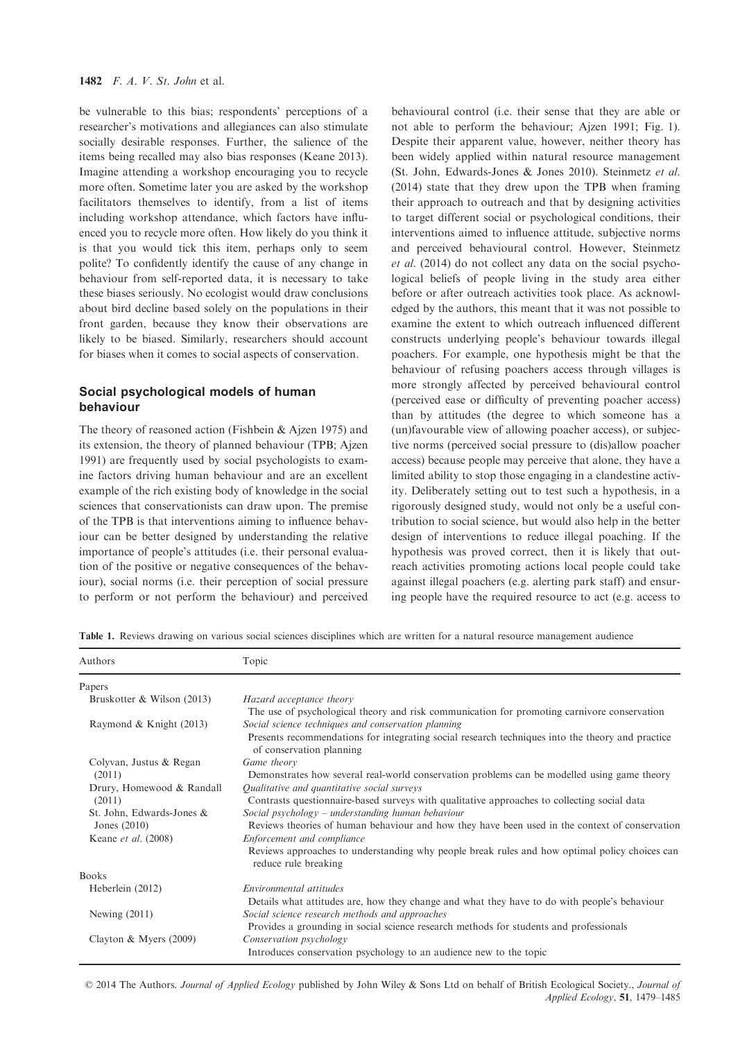be vulnerable to this bias; respondents' perceptions of a researcher's motivations and allegiances can also stimulate socially desirable responses. Further, the salience of the items being recalled may also bias responses (Keane 2013). Imagine attending a workshop encouraging you to recycle more often. Sometime later you are asked by the workshop facilitators themselves to identify, from a list of items including workshop attendance, which factors have influenced you to recycle more often. How likely do you think it is that you would tick this item, perhaps only to seem polite? To confidently identify the cause of any change in behaviour from self-reported data, it is necessary to take these biases seriously. No ecologist would draw conclusions about bird decline based solely on the populations in their front garden, because they know their observations are likely to be biased. Similarly, researchers should account for biases when it comes to social aspects of conservation.

## Social psychological models of human behaviour

The theory of reasoned action (Fishbein & Ajzen 1975) and its extension, the theory of planned behaviour (TPB; Ajzen 1991) are frequently used by social psychologists to examine factors driving human behaviour and are an excellent example of the rich existing body of knowledge in the social sciences that conservationists can draw upon. The premise of the TPB is that interventions aiming to influence behaviour can be better designed by understanding the relative importance of people's attitudes (i.e. their personal evaluation of the positive or negative consequences of the behaviour), social norms (i.e. their perception of social pressure to perform or not perform the behaviour) and perceived behavioural control (i.e. their sense that they are able or not able to perform the behaviour; Ajzen 1991; Fig. 1). Despite their apparent value, however, neither theory has been widely applied within natural resource management (St. John, Edwards-Jones & Jones 2010). Steinmetz et al. (2014) state that they drew upon the TPB when framing their approach to outreach and that by designing activities to target different social or psychological conditions, their interventions aimed to influence attitude, subjective norms and perceived behavioural control. However, Steinmetz et al. (2014) do not collect any data on the social psychological beliefs of people living in the study area either before or after outreach activities took place. As acknowledged by the authors, this meant that it was not possible to examine the extent to which outreach influenced different constructs underlying people's behaviour towards illegal poachers. For example, one hypothesis might be that the behaviour of refusing poachers access through villages is more strongly affected by perceived behavioural control (perceived ease or difficulty of preventing poacher access) than by attitudes (the degree to which someone has a (un)favourable view of allowing poacher access), or subjective norms (perceived social pressure to (dis)allow poacher access) because people may perceive that alone, they have a limited ability to stop those engaging in a clandestine activity. Deliberately setting out to test such a hypothesis, in a rigorously designed study, would not only be a useful contribution to social science, but would also help in the better design of interventions to reduce illegal poaching. If the hypothesis was proved correct, then it is likely that outreach activities promoting actions local people could take against illegal poachers (e.g. alerting park staff) and ensuring people have the required resource to act (e.g. access to

| Authors                             | Topic                                                                                                                        |
|-------------------------------------|------------------------------------------------------------------------------------------------------------------------------|
| Papers                              |                                                                                                                              |
| Bruskotter & Wilson (2013)          | Hazard acceptance theory                                                                                                     |
|                                     | The use of psychological theory and risk communication for promoting carnivore conservation                                  |
| Raymond & Knight (2013)             | Social science techniques and conservation planning                                                                          |
|                                     | Presents recommendations for integrating social research techniques into the theory and practice<br>of conservation planning |
| Colyvan, Justus & Regan             | Game theory                                                                                                                  |
| (2011)                              | Demonstrates how several real-world conservation problems can be modelled using game theory                                  |
| Drury, Homewood & Randall<br>(2011) | Qualitative and quantitative social surveys                                                                                  |
|                                     | Contrasts questionnaire-based surveys with qualitative approaches to collecting social data                                  |
| St. John, Edwards-Jones &           | Social $psychology$ – understanding human behaviour                                                                          |
| Jones $(2010)$                      | Reviews theories of human behaviour and how they have been used in the context of conservation                               |
| Keane et al. (2008)                 | Enforcement and compliance                                                                                                   |
|                                     | Reviews approaches to understanding why people break rules and how optimal policy choices can<br>reduce rule breaking        |
| <b>Books</b>                        |                                                                                                                              |
| Heberlein (2012)                    | Environmental attitudes                                                                                                      |
|                                     | Details what attitudes are, how they change and what they have to do with people's behaviour                                 |
| Newing $(2011)$                     | Social science research methods and approaches                                                                               |
|                                     | Provides a grounding in social science research methods for students and professionals                                       |
| Clayton & Myers $(2009)$            | Conservation psychology                                                                                                      |
|                                     | Introduces conservation psychology to an audience new to the topic                                                           |

Table 1. Reviews drawing on various social sciences disciplines which are written for a natural resource management audience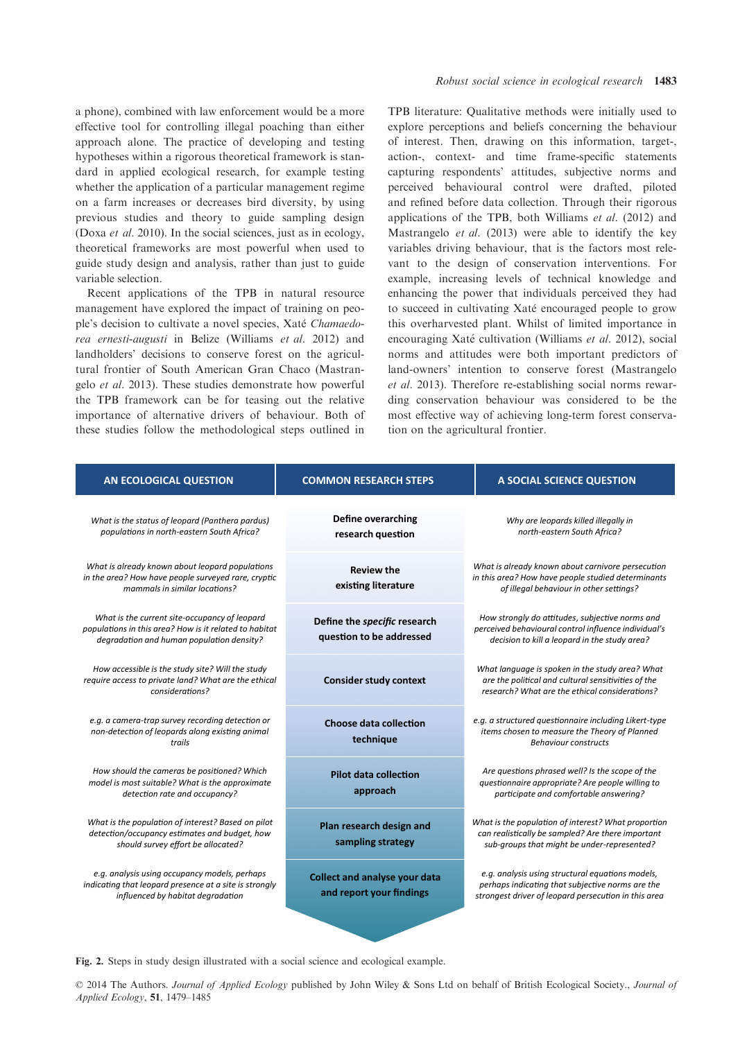a phone), combined with law enforcement would be a more effective tool for controlling illegal poaching than either approach alone. The practice of developing and testing hypotheses within a rigorous theoretical framework is standard in applied ecological research, for example testing whether the application of a particular management regime on a farm increases or decreases bird diversity, by using previous studies and theory to guide sampling design (Doxa et al. 2010). In the social sciences, just as in ecology, theoretical frameworks are most powerful when used to guide study design and analysis, rather than just to guide variable selection.

Recent applications of the TPB in natural resource management have explored the impact of training on people's decision to cultivate a novel species, Xaté Chamaedorea ernesti-augusti in Belize (Williams et al. 2012) and landholders' decisions to conserve forest on the agricultural frontier of South American Gran Chaco (Mastrangelo et al. 2013). These studies demonstrate how powerful the TPB framework can be for teasing out the relative importance of alternative drivers of behaviour. Both of these studies follow the methodological steps outlined in TPB literature: Qualitative methods were initially used to explore perceptions and beliefs concerning the behaviour of interest. Then, drawing on this information, target-, action-, context- and time frame-specific statements capturing respondents' attitudes, subjective norms and perceived behavioural control were drafted, piloted and refined before data collection. Through their rigorous applications of the TPB, both Williams et al. (2012) and Mastrangelo et al. (2013) were able to identify the key variables driving behaviour, that is the factors most relevant to the design of conservation interventions. For example, increasing levels of technical knowledge and enhancing the power that individuals perceived they had to succeed in cultivating Xaté encouraged people to grow this overharvested plant. Whilst of limited importance in encouraging Xaté cultivation (Williams et al. 2012), social norms and attitudes were both important predictors of land-owners' intention to conserve forest (Mastrangelo et al. 2013). Therefore re-establishing social norms rewarding conservation behaviour was considered to be the most effective way of achieving long-term forest conservation on the agricultural frontier.

| AN ECOLOGICAL QUESTION                                                                                                                               | <b>COMMON RESEARCH STEPS</b>                                     | A SOCIAL SCIENCE QUESTION                                                                                                                                    |
|------------------------------------------------------------------------------------------------------------------------------------------------------|------------------------------------------------------------------|--------------------------------------------------------------------------------------------------------------------------------------------------------------|
| What is the status of leopard (Panthera pardus)<br>populations in north-eastern South Africa?                                                        | <b>Define overarching</b><br>research question                   | Why are leopards killed illegally in<br>north-eastern South Africa?                                                                                          |
| What is already known about leopard populations<br>in the area? How have people surveyed rare, cryptic<br>mammals in similar locations?              | <b>Review the</b><br>existing literature                         | What is already known about carnivore persecution<br>in this area? How have people studied determinants<br>of illegal behaviour in other settings?           |
| What is the current site-occupancy of leopard<br>populations in this area? How is it related to habitat<br>degradation and human population density? | Define the <i>specific</i> research<br>question to be addressed  | How strongly do attitudes, subjective norms and<br>perceived behavioural control influence individual's<br>decision to kill a leopard in the study area?     |
| How accessible is the study site? Will the study<br>require access to private land? What are the ethical<br>considerations?                          | <b>Consider study context</b>                                    | What language is spoken in the study area? What<br>are the political and cultural sensitivities of the<br>research? What are the ethical considerations?     |
| e.g. a camera-trap survey recording detection or<br>non-detection of leopards along existing animal<br>trails                                        | <b>Choose data collection</b><br>technique                       | e.g. a structured questionnaire including Likert-type<br>items chosen to measure the Theory of Planned<br><b>Behaviour constructs</b>                        |
| How should the cameras be positioned? Which<br>model is most suitable? What is the approximate<br>detection rate and occupancy?                      | <b>Pilot data collection</b><br>approach                         | Are questions phrased well? Is the scope of the<br>questionnaire appropriate? Are people willing to<br>participate and comfortable answering?                |
| What is the population of interest? Based on pilot<br>detection/occupancy estimates and budget, how<br>should survey effort be allocated?            | Plan research design and<br>sampling strategy                    | What is the population of interest? What proportion<br>can realistically be sampled? Are there important<br>sub-groups that might be under-represented?      |
| e.g. analysis using occupancy models, perhaps<br>indicating that leopard presence at a site is strongly<br>influenced by habitat degradation         | <b>Collect and analyse your data</b><br>and report your findings | e.g. analysis using structural equations models,<br>perhaps indicating that subjective norms are the<br>strongest driver of leopard persecution in this area |
|                                                                                                                                                      |                                                                  |                                                                                                                                                              |

Fig. 2. Steps in study design illustrated with a social science and ecological example.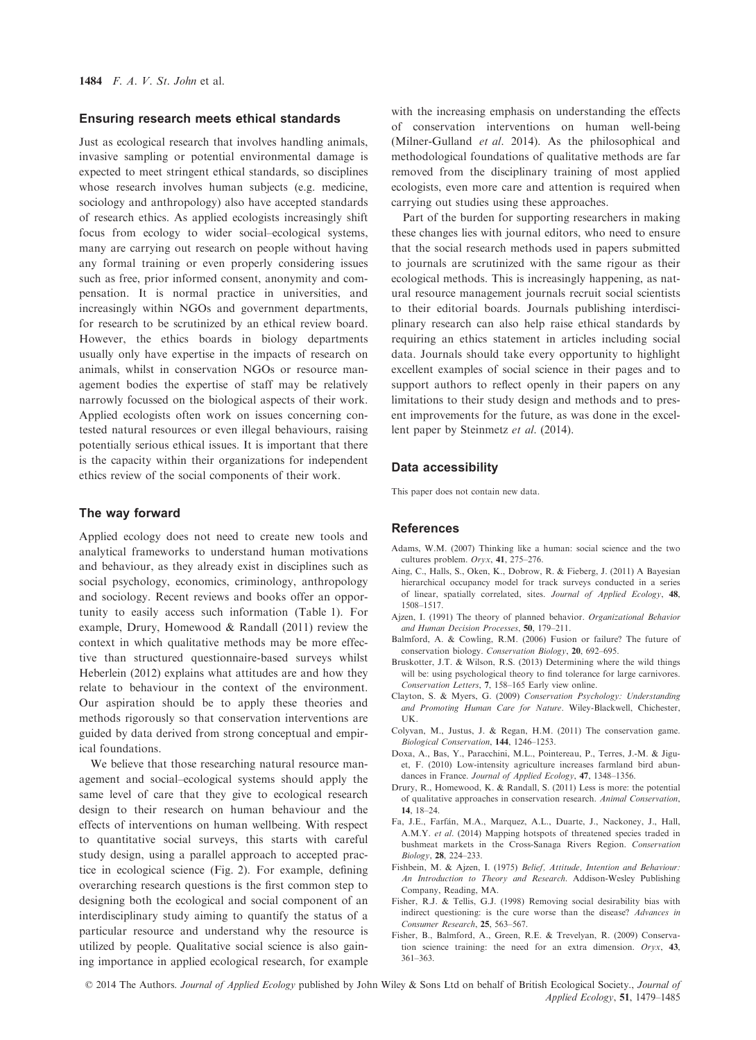#### Ensuring research meets ethical standards

Just as ecological research that involves handling animals, invasive sampling or potential environmental damage is expected to meet stringent ethical standards, so disciplines whose research involves human subjects (e.g. medicine, sociology and anthropology) also have accepted standards of research ethics. As applied ecologists increasingly shift focus from ecology to wider social–ecological systems, many are carrying out research on people without having any formal training or even properly considering issues such as free, prior informed consent, anonymity and compensation. It is normal practice in universities, and increasingly within NGOs and government departments, for research to be scrutinized by an ethical review board. However, the ethics boards in biology departments usually only have expertise in the impacts of research on animals, whilst in conservation NGOs or resource management bodies the expertise of staff may be relatively narrowly focussed on the biological aspects of their work. Applied ecologists often work on issues concerning contested natural resources or even illegal behaviours, raising potentially serious ethical issues. It is important that there is the capacity within their organizations for independent ethics review of the social components of their work.

## The way forward

Applied ecology does not need to create new tools and analytical frameworks to understand human motivations and behaviour, as they already exist in disciplines such as social psychology, economics, criminology, anthropology and sociology. Recent reviews and books offer an opportunity to easily access such information (Table 1). For example, Drury, Homewood & Randall (2011) review the context in which qualitative methods may be more effective than structured questionnaire-based surveys whilst Heberlein (2012) explains what attitudes are and how they relate to behaviour in the context of the environment. Our aspiration should be to apply these theories and methods rigorously so that conservation interventions are guided by data derived from strong conceptual and empirical foundations.

We believe that those researching natural resource management and social–ecological systems should apply the same level of care that they give to ecological research design to their research on human behaviour and the effects of interventions on human wellbeing. With respect to quantitative social surveys, this starts with careful study design, using a parallel approach to accepted practice in ecological science (Fig. 2). For example, defining overarching research questions is the first common step to designing both the ecological and social component of an interdisciplinary study aiming to quantify the status of a particular resource and understand why the resource is utilized by people. Qualitative social science is also gaining importance in applied ecological research, for example with the increasing emphasis on understanding the effects of conservation interventions on human well-being (Milner-Gulland et al. 2014). As the philosophical and methodological foundations of qualitative methods are far removed from the disciplinary training of most applied ecologists, even more care and attention is required when carrying out studies using these approaches.

Part of the burden for supporting researchers in making these changes lies with journal editors, who need to ensure that the social research methods used in papers submitted to journals are scrutinized with the same rigour as their ecological methods. This is increasingly happening, as natural resource management journals recruit social scientists to their editorial boards. Journals publishing interdisciplinary research can also help raise ethical standards by requiring an ethics statement in articles including social data. Journals should take every opportunity to highlight excellent examples of social science in their pages and to support authors to reflect openly in their papers on any limitations to their study design and methods and to present improvements for the future, as was done in the excellent paper by Steinmetz et al. (2014).

#### Data accessibility

This paper does not contain new data.

#### References

- Adams, W.M. (2007) Thinking like a human: social science and the two cultures problem. Oryx, 41, 275–276.
- Aing, C., Halls, S., Oken, K., Dobrow, R. & Fieberg, J. (2011) A Bayesian hierarchical occupancy model for track surveys conducted in a series of linear, spatially correlated, sites. Journal of Applied Ecology, 48, 1508–1517.
- Ajzen, I. (1991) The theory of planned behavior. Organizational Behavior and Human Decision Processes, 50, 179–211.
- Balmford, A. & Cowling, R.M. (2006) Fusion or failure? The future of conservation biology. Conservation Biology, 20, 692–695.
- Bruskotter, J.T. & Wilson, R.S. (2013) Determining where the wild things will be: using psychological theory to find tolerance for large carnivores. Conservation Letters, 7, 158–165 Early view online.
- Clayton, S. & Myers, G. (2009) Conservation Psychology: Understanding and Promoting Human Care for Nature. Wiley-Blackwell, Chichester,  $I K$
- Colyvan, M., Justus, J. & Regan, H.M. (2011) The conservation game. Biological Conservation, 144, 1246–1253.
- Doxa, A., Bas, Y., Paracchini, M.L., Pointereau, P., Terres, J.-M. & Jiguet, F. (2010) Low-intensity agriculture increases farmland bird abundances in France. Journal of Applied Ecology, 47, 1348–1356.
- Drury, R., Homewood, K. & Randall, S. (2011) Less is more: the potential of qualitative approaches in conservation research. Animal Conservation, 14, 18–24.
- Fa, J.E., Farfán, M.A., Marquez, A.L., Duarte, J., Nackoney, J., Hall, A.M.Y. et al. (2014) Mapping hotspots of threatened species traded in bushmeat markets in the Cross-Sanaga Rivers Region. Conservation Biology, 28, 224–233.
- Fishbein, M. & Ajzen, I. (1975) Belief, Attitude, Intention and Behaviour: An Introduction to Theory and Research. Addison-Wesley Publishing Company, Reading, MA.
- Fisher, R.J. & Tellis, G.J. (1998) Removing social desirability bias with indirect questioning: is the cure worse than the disease? Advances in Consumer Research, 25, 563–567.
- Fisher, B., Balmford, A., Green, R.E. & Trevelyan, R. (2009) Conservation science training: the need for an extra dimension. Oryx, 43, 361–363.